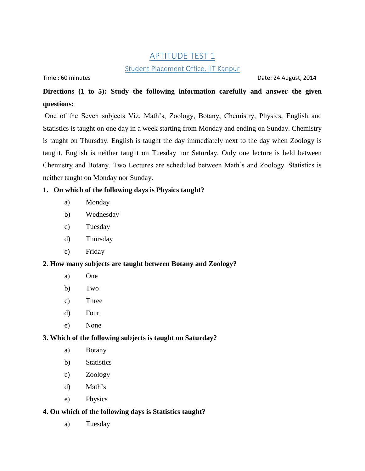# APTITUDE TEST 1

# **Student Placement Office, IIT Kanpur**

Time : 60 minutes Date: 24 August, 2014

# **Directions (1 to 5): Study the following information carefully and answer the given questions:**

One of the Seven subjects Viz. Math's, Zoology, Botany, Chemistry, Physics, English and Statistics is taught on one day in a week starting from Monday and ending on Sunday. Chemistry is taught on Thursday. English is taught the day immediately next to the day when Zoology is taught. English is neither taught on Tuesday nor Saturday. Only one lecture is held between Chemistry and Botany. Two Lectures are scheduled between Math's and Zoology. Statistics is neither taught on Monday nor Sunday.

# **1. On which of the following days is Physics taught?**

- a) Monday
- b) Wednesday
- c) Tuesday
- d) Thursday
- e) Friday

## **2. How many subjects are taught between Botany and Zoology?**

- a) One
- b) Two
- c) Three
- d) Four
- e) None

## **3. Which of the following subjects is taught on Saturday?**

- a) Botany
- b) Statistics
- c) Zoology
- d) Math's
- e) Physics

## **4. On which of the following days is Statistics taught?**

a) Tuesday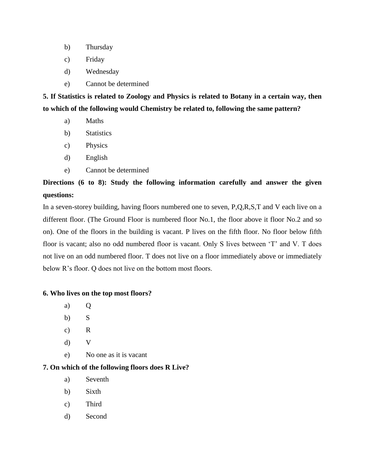- b) Thursday
- c) Friday
- d) Wednesday
- e) Cannot be determined

**5. If Statistics is related to Zoology and Physics is related to Botany in a certain way, then to which of the following would Chemistry be related to, following the same pattern?**

- a) Maths
- b) Statistics
- c) Physics
- d) English
- e) Cannot be determined

# **Directions (6 to 8): Study the following information carefully and answer the given questions:**

In a seven-storey building, having floors numbered one to seven, P,Q,R,S,T and V each live on a different floor. (The Ground Floor is numbered floor No.1, the floor above it floor No.2 and so on). One of the floors in the building is vacant. P lives on the fifth floor. No floor below fifth floor is vacant; also no odd numbered floor is vacant. Only S lives between 'T' and V. T does not live on an odd numbered floor. T does not live on a floor immediately above or immediately below R's floor. O does not live on the bottom most floors.

## **6. Who lives on the top most floors?**

- a) Q
- b) S
- c) R
- d) V
- e) No one as it is vacant

# **7. On which of the following floors does R Live?**

- a) Seventh
- b) Sixth
- c) Third
- d) Second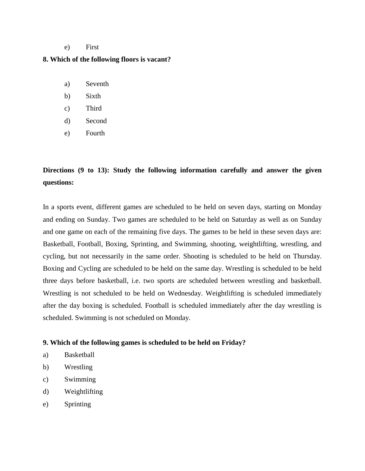#### e) First

#### **8. Which of the following floors is vacant?**

- a) Seventh
- b) Sixth
- c) Third
- d) Second
- e) Fourth

# **Directions (9 to 13): Study the following information carefully and answer the given questions:**

In a sports event, different games are scheduled to be held on seven days, starting on Monday and ending on Sunday. Two games are scheduled to be held on Saturday as well as on Sunday and one game on each of the remaining five days. The games to be held in these seven days are: Basketball, Football, Boxing, Sprinting, and Swimming, shooting, weightlifting, wrestling, and cycling, but not necessarily in the same order. Shooting is scheduled to be held on Thursday. Boxing and Cycling are scheduled to be held on the same day. Wrestling is scheduled to be held three days before basketball, i.e. two sports are scheduled between wrestling and basketball. Wrestling is not scheduled to be held on Wednesday. Weightlifting is scheduled immediately after the day boxing is scheduled. Football is scheduled immediately after the day wrestling is scheduled. Swimming is not scheduled on Monday.

#### **9. Which of the following games is scheduled to be held on Friday?**

- a) Basketball
- b) Wrestling
- c) Swimming
- d) Weightlifting
- e) Sprinting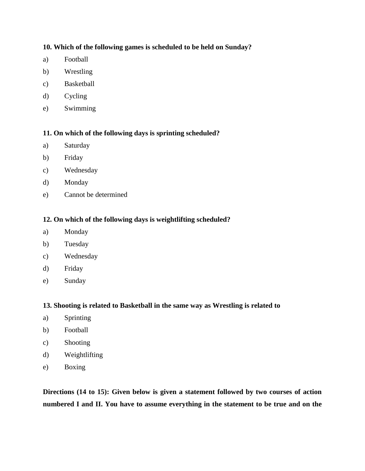# **10. Which of the following games is scheduled to be held on Sunday?**

- a) Football
- b) Wrestling
- c) Basketball
- d) Cycling
- e) Swimming

# **11. On which of the following days is sprinting scheduled?**

- a) Saturday
- b) Friday
- c) Wednesday
- d) Monday
- e) Cannot be determined

# **12. On which of the following days is weightlifting scheduled?**

- a) Monday
- b) Tuesday
- c) Wednesday
- d) Friday
- e) Sunday

## **13. Shooting is related to Basketball in the same way as Wrestling is related to**

- a) Sprinting
- b) Football
- c) Shooting
- d) Weightlifting
- e) Boxing

**Directions (14 to 15): Given below is given a statement followed by two courses of action numbered I and II. You have to assume everything in the statement to be true and on the**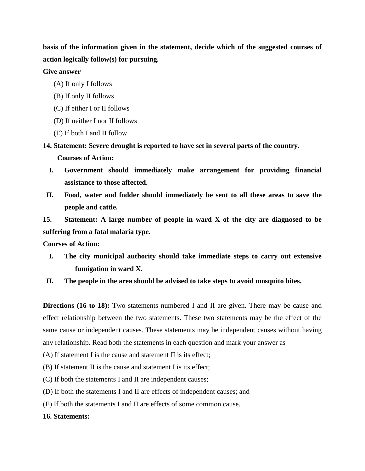**basis of the information given in the statement, decide which of the suggested courses of action logically follow(s) for pursuing.**

### **Give answer**

- (A) If only I follows
- (B) If only II follows
- (C) If either I or II follows
- (D) If neither I nor II follows
- (E) If both I and II follow.

**14. Statement: Severe drought is reported to have set in several parts of the country.**

 **Courses of Action:**

- **I. Government should immediately make arrangement for providing financial assistance to those affected.**
- **II. Food, water and fodder should immediately be sent to all these areas to save the people and cattle.**

**15. Statement: A large number of people in ward X of the city are diagnosed to be suffering from a fatal malaria type.**

**Courses of Action:**

- **I. The city municipal authority should take immediate steps to carry out extensive fumigation in ward X.**
- **II. The people in the area should be advised to take steps to avoid mosquito bites.**

**Directions (16 to 18):** Two statements numbered I and II are given. There may be cause and effect relationship between the two statements. These two statements may be the effect of the same cause or independent causes. These statements may be independent causes without having any relationship. Read both the statements in each question and mark your answer as

- (A) If statement I is the cause and statement II is its effect;
- (B) If statement II is the cause and statement I is its effect;
- (C) If both the statements I and II are independent causes;
- (D) If both the statements I and II are effects of independent causes; and
- (E) If both the statements I and II are effects of some common cause.

## **16. Statements:**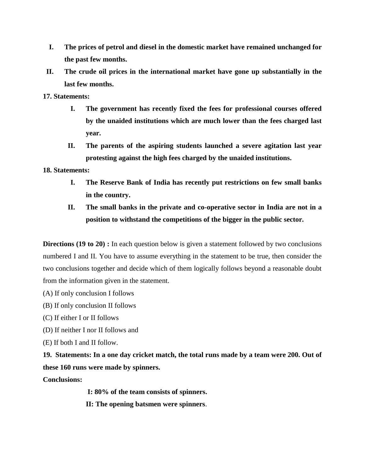- **I. The prices of petrol and diesel in the domestic market have remained unchanged for the past few months.**
- **II. The crude oil prices in the international market have gone up substantially in the last few months.**

**17. Statements:**

- **I. The government has recently fixed the fees for professional courses offered by the unaided institutions which are much lower than the fees charged last year.**
- **II. The parents of the aspiring students launched a severe agitation last year protesting against the high fees charged by the unaided institutions.**

# **18. Statements:**

- **I. The Reserve Bank of India has recently put restrictions on few small banks in the country.**
- **II. The small banks in the private and co-operative sector in India are not in a position to withstand the competitions of the bigger in the public sector.**

**Directions (19 to 20) :** In each question below is given a statement followed by two conclusions numbered I and II. You have to assume everything in the statement to be true, then consider the two conclusions together and decide which of them logically follows beyond a reasonable doubt from the information given in the statement.

(A) If only conclusion I follows

- (B) If only conclusion II follows
- (C) If either I or II follows
- (D) If neither I nor II follows and
- (E) If both I and II follow.

**19. Statements: In a one day cricket match, the total runs made by a team were 200. Out of these 160 runs were made by spinners.**

**Conclusions:**

**I: 80% of the team consists of spinners.**

**II: The opening batsmen were spinners**.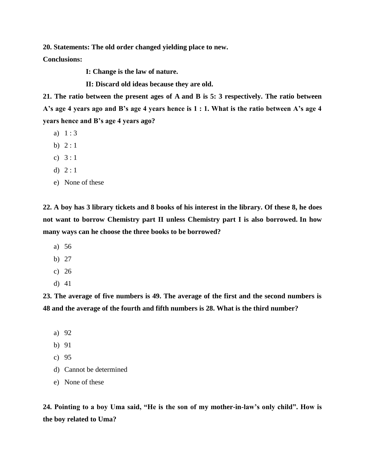**20. Statements: The old order changed yielding place to new.**

**Conclusions:**

**I: Change is the law of nature.**

**II: Discard old ideas because they are old.**

**21. The ratio between the present ages of A and B is 5: 3 respectively. The ratio between A's age 4 years ago and B's age 4 years hence is 1 : 1. What is the ratio between A's age 4 years hence and B's age 4 years ago?**

- a) 1 : 3
- b)  $2:1$
- c) 3 : 1
- d)  $2:1$
- e) None of these

**22. A boy has 3 library tickets and 8 books of his interest in the library. Of these 8, he does not want to borrow Chemistry part II unless Chemistry part I is also borrowed. In how many ways can he choose the three books to be borrowed?**

- a) 56
- b) 27
- c) 26
- d) 41

**23. The average of five numbers is 49. The average of the first and the second numbers is 48 and the average of the fourth and fifth numbers is 28. What is the third number?**

- a) 92
- b) 91
- c) 95
- d) Cannot be determined
- e) None of these

**24. Pointing to a boy Uma said, "He is the son of my mother-in-law's only child". How is the boy related to Uma?**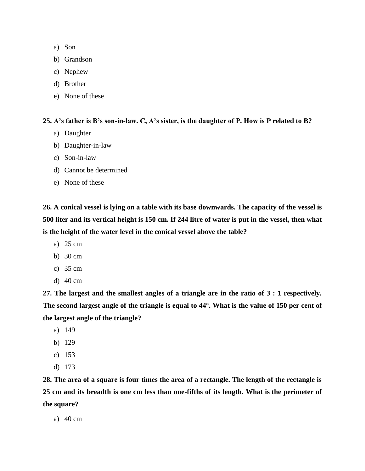- a) Son
- b) Grandson
- c) Nephew
- d) Brother
- e) None of these

**25. A's father is B's son-in-law. C, A's sister, is the daughter of P. How is P related to B?**

- a) Daughter
- b) Daughter-in-law
- c) Son-in-law
- d) Cannot be determined
- e) None of these

**26. A conical vessel is lying on a table with its base downwards. The capacity of the vessel is 500 liter and its vertical height is 150 cm. If 244 litre of water is put in the vessel, then what is the height of the water level in the conical vessel above the table?**

- a) 25 cm
- b) 30 cm
- c) 35 cm
- d) 40 cm

**27. The largest and the smallest angles of a triangle are in the ratio of 3 : 1 respectively. The second largest angle of the triangle is equal to 44°. What is the value of 150 per cent of the largest angle of the triangle?**

- a) 149
- b) 129
- c) 153
- d) 173

**28. The area of a square is four times the area of a rectangle. The length of the rectangle is 25 cm and its breadth is one cm less than one-fifths of its length. What is the perimeter of the square?**

a) 40 cm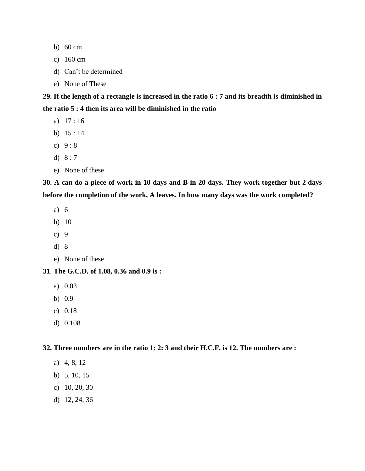- b) 60 cm
- c) 160 cm
- d) Can't be determined
- e) None of These

**29. If the length of a rectangle is increased in the ratio 6 : 7 and its breadth is diminished in the ratio 5 : 4 then its area will be diminished in the ratio**

- a) 17 : 16
- b) 15 : 14
- c)  $9:8$
- d) 8 : 7
- e) None of these

**30. A can do a piece of work in 10 days and B in 20 days. They work together but 2 days before the completion of the work, A leaves. In how many days was the work completed?**

- a) 6
- b) 10
- c) 9
- d) 8
- e) None of these

### **31**. **The G.C.D. of 1.08, 0.36 and 0.9 is :**

- a) 0.03
- b) 0.9
- c) 0.18
- d) 0.108

**32. Three numbers are in the ratio 1: 2: 3 and their H.C.F. is 12. The numbers are :**

- a) 4, 8, 12
- b) 5, 10, 15
- c) 10, 20, 30
- d) 12, 24, 36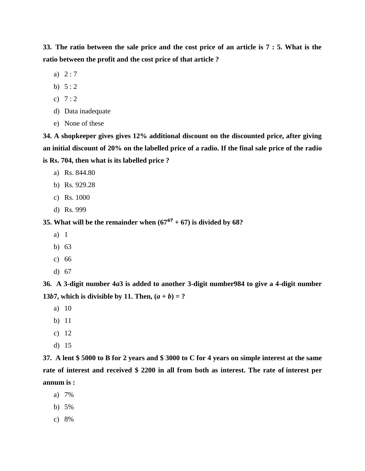**33. The ratio between the sale price and the cost price of an article is 7 : 5. What is the ratio between the profit and the cost price of that article ?**

- a) 2 : 7
- b)  $5:2$
- c)  $7:2$
- d) Data inadequate
- e) None of these

**34. A shopkeeper gives gives 12% additional discount on the discounted price, after giving an initial discount of 20% on the labelled price of a radio. If the final sale price of the radio is Rs. 704, then what is its labelled price ?**

- a) Rs. 844.80
- b) Rs. 929.28
- c) Rs. 1000
- d) Rs. 999

**35. What will be the remainder when**  $(67^{67} + 67)$  **is divided by 68?** 

- a) 1
- b) 63
- c) 66
- d) 67

**36. A 3-digit number 4***a***3 is added to another 3-digit number984 to give a 4-digit number 13***b***<b>7**, which is divisible by 11. Then,  $(a + b) = ?$ 

- a) 10
- b) 11
- c) 12
- d) 15

**37. A lent \$ 5000 to B for 2 years and \$ 3000 to C for 4 years on simple interest at the same rate of interest and received \$ 2200 in all from both as interest. The rate of interest per annum is :**

- a) 7%
- b) 5%
- c) 8%